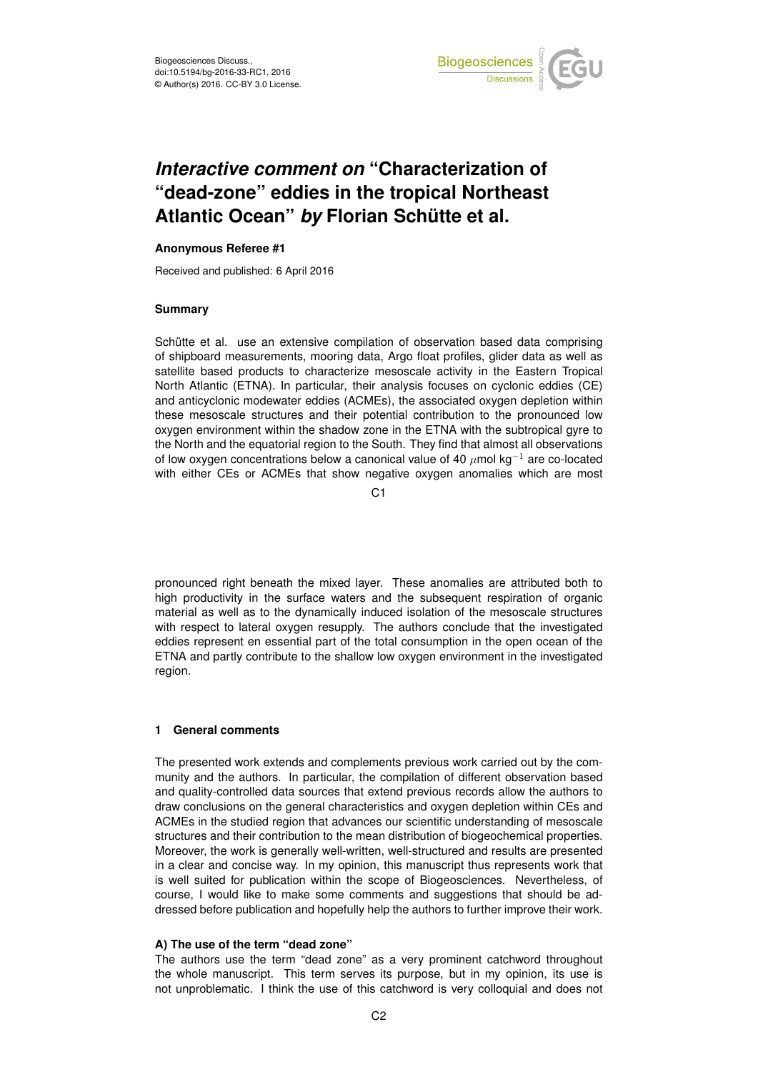

# *Interactive comment on* **"Characterization of "dead-zone" eddies in the tropical Northeast Atlantic Ocean"** *by* **Florian Schütte et al.**

## **Anonymous Referee #1**

Received and published: 6 April 2016

# **Summary**

Schütte et al. use an extensive compilation of observation based data comprising of shipboard measurements, mooring data, Argo float profiles, glider data as well as satellite based products to characterize mesoscale activity in the Eastern Tropical North Atlantic (ETNA). In particular, their analysis focuses on cyclonic eddies (CE) and anticyclonic modewater eddies (ACMEs), the associated oxygen depletion within these mesoscale structures and their potential contribution to the pronounced low oxygen environment within the shadow zone in the ETNA with the subtropical gyre to the North and the equatorial region to the South. They find that almost all observations of low oxygen concentrations below a canonical value of 40  $\mu$ mol kg<sup>-1</sup> are co-located with either CEs or ACMEs that show negative oxygen anomalies which are most

C1

pronounced right beneath the mixed layer. These anomalies are attributed both to high productivity in the surface waters and the subsequent respiration of organic material as well as to the dynamically induced isolation of the mesoscale structures with respect to lateral oxygen resupply. The authors conclude that the investigated eddies represent en essential part of the total consumption in the open ocean of the ETNA and partly contribute to the shallow low oxygen environment in the investigated region.

## **1 General comments**

The presented work extends and complements previous work carried out by the community and the authors. In particular, the compilation of different observation based and quality-controlled data sources that extend previous records allow the authors to draw conclusions on the general characteristics and oxygen depletion within CEs and ACMEs in the studied region that advances our scientific understanding of mesoscale structures and their contribution to the mean distribution of biogeochemical properties. Moreover, the work is generally well-written, well-structured and results are presented in a clear and concise way. In my opinion, this manuscript thus represents work that is well suited for publication within the scope of Biogeosciences. Nevertheless, of course, I would like to make some comments and suggestions that should be addressed before publication and hopefully help the authors to further improve their work.

## **A) The use of the term "dead zone"**

The authors use the term "dead zone" as a very prominent catchword throughout the whole manuscript. This term serves its purpose, but in my opinion, its use is not unproblematic. I think the use of this catchword is very colloquial and does not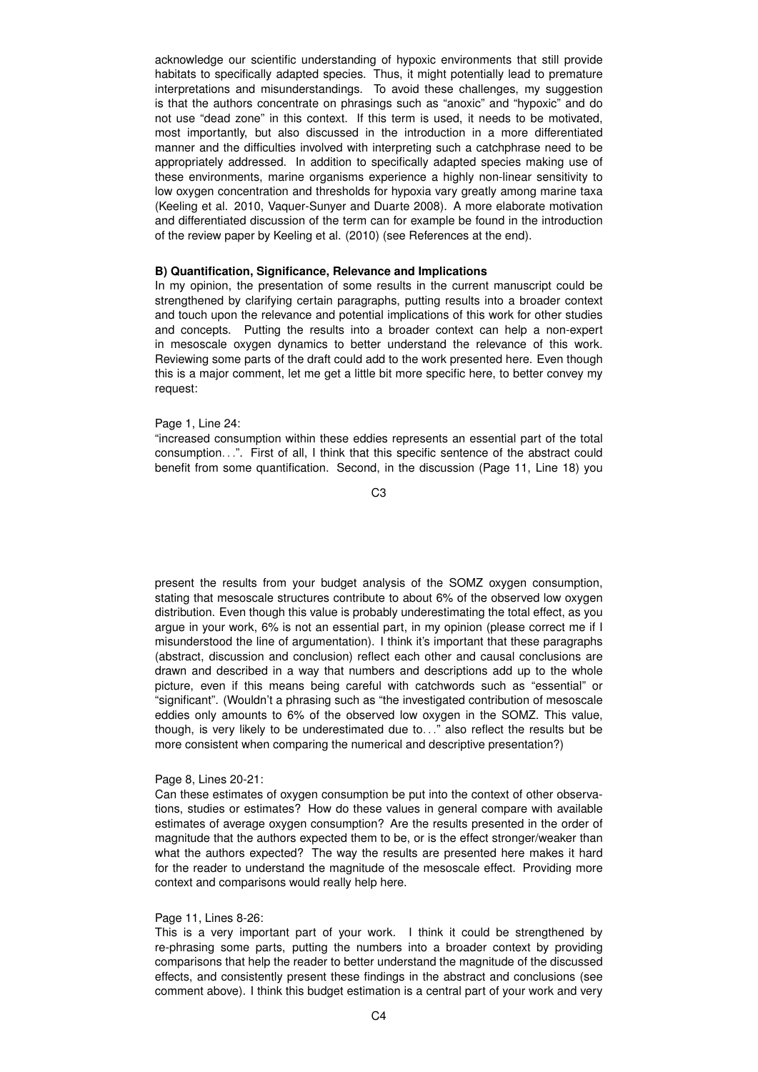acknowledge our scientific understanding of hypoxic environments that still provide habitats to specifically adapted species. Thus, it might potentially lead to premature interpretations and misunderstandings. To avoid these challenges, my suggestion is that the authors concentrate on phrasings such as "anoxic" and "hypoxic" and do not use "dead zone" in this context. If this term is used, it needs to be motivated, most importantly, but also discussed in the introduction in a more differentiated manner and the difficulties involved with interpreting such a catchphrase need to be appropriately addressed. In addition to specifically adapted species making use of these environments, marine organisms experience a highly non-linear sensitivity to low oxygen concentration and thresholds for hypoxia vary greatly among marine taxa (Keeling et al. 2010, Vaquer-Sunyer and Duarte 2008). A more elaborate motivation and differentiated discussion of the term can for example be found in the introduction of the review paper by Keeling et al. (2010) (see References at the end).

# **B) Quantification, Significance, Relevance and Implications**

In my opinion, the presentation of some results in the current manuscript could be strengthened by clarifying certain paragraphs, putting results into a broader context and touch upon the relevance and potential implications of this work for other studies and concepts. Putting the results into a broader context can help a non-expert in mesoscale oxygen dynamics to better understand the relevance of this work. Reviewing some parts of the draft could add to the work presented here. Even though this is a major comment, let me get a little bit more specific here, to better convey my request:

### Page 1, Line 24:

"increased consumption within these eddies represents an essential part of the total consumption. . .". First of all, I think that this specific sentence of the abstract could benefit from some quantification. Second, in the discussion (Page 11, Line 18) you

C3

present the results from your budget analysis of the SOMZ oxygen consumption, stating that mesoscale structures contribute to about 6% of the observed low oxygen distribution. Even though this value is probably underestimating the total effect, as you argue in your work, 6% is not an essential part, in my opinion (please correct me if I misunderstood the line of argumentation). I think it's important that these paragraphs (abstract, discussion and conclusion) reflect each other and causal conclusions are drawn and described in a way that numbers and descriptions add up to the whole picture, even if this means being careful with catchwords such as "essential" or "significant". (Wouldn't a phrasing such as "the investigated contribution of mesoscale eddies only amounts to 6% of the observed low oxygen in the SOMZ. This value, though, is very likely to be underestimated due to. . ." also reflect the results but be more consistent when comparing the numerical and descriptive presentation?)

### Page 8, Lines 20-21:

Can these estimates of oxygen consumption be put into the context of other observations, studies or estimates? How do these values in general compare with available estimates of average oxygen consumption? Are the results presented in the order of magnitude that the authors expected them to be, or is the effect stronger/weaker than what the authors expected? The way the results are presented here makes it hard for the reader to understand the magnitude of the mesoscale effect. Providing more context and comparisons would really help here.

#### Page 11, Lines 8-26:

This is a very important part of your work. I think it could be strengthened by re-phrasing some parts, putting the numbers into a broader context by providing comparisons that help the reader to better understand the magnitude of the discussed effects, and consistently present these findings in the abstract and conclusions (see comment above). I think this budget estimation is a central part of your work and very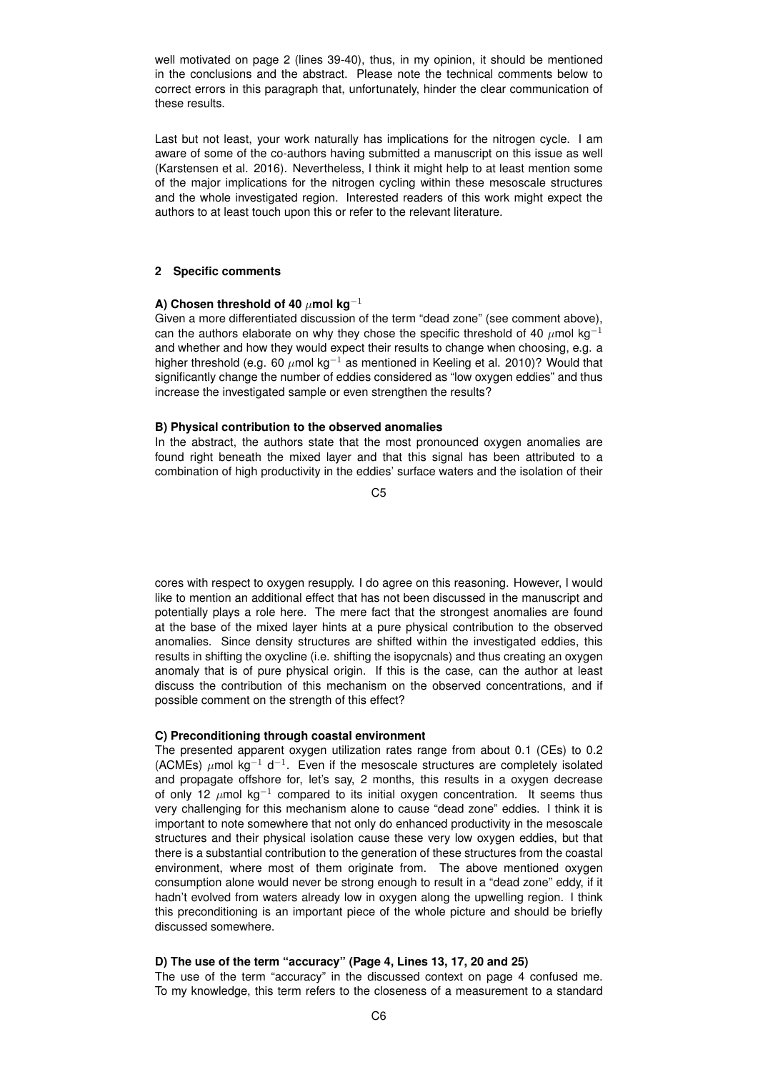well motivated on page 2 (lines 39-40), thus, in my opinion, it should be mentioned in the conclusions and the abstract. Please note the technical comments below to correct errors in this paragraph that, unfortunately, hinder the clear communication of these results.

Last but not least, your work naturally has implications for the nitrogen cycle. I am aware of some of the co-authors having submitted a manuscript on this issue as well (Karstensen et al. 2016). Nevertheless, I think it might help to at least mention some of the major implications for the nitrogen cycling within these mesoscale structures and the whole investigated region. Interested readers of this work might expect the authors to at least touch upon this or refer to the relevant literature.

# **2 Specific comments**

# **A) Chosen threshold of 40** µ**mol kg**−<sup>1</sup>

Given a more differentiated discussion of the term "dead zone" (see comment above), can the authors elaborate on why they chose the specific threshold of 40  $\mu$ mol kg<sup>-1</sup> and whether and how they would expect their results to change when choosing, e.g. a higher threshold (e.g. 60  $\mu$ mol kg<sup>-1</sup> as mentioned in Keeling et al. 2010)? Would that significantly change the number of eddies considered as "low oxygen eddies" and thus increase the investigated sample or even strengthen the results?

## **B) Physical contribution to the observed anomalies**

In the abstract, the authors state that the most pronounced oxygen anomalies are found right beneath the mixed layer and that this signal has been attributed to a combination of high productivity in the eddies' surface waters and the isolation of their

C5

cores with respect to oxygen resupply. I do agree on this reasoning. However, I would like to mention an additional effect that has not been discussed in the manuscript and potentially plays a role here. The mere fact that the strongest anomalies are found at the base of the mixed layer hints at a pure physical contribution to the observed anomalies. Since density structures are shifted within the investigated eddies, this results in shifting the oxycline (i.e. shifting the isopycnals) and thus creating an oxygen anomaly that is of pure physical origin. If this is the case, can the author at least discuss the contribution of this mechanism on the observed concentrations, and if possible comment on the strength of this effect?

#### **C) Preconditioning through coastal environment**

The presented apparent oxygen utilization rates range from about 0.1 (CEs) to 0.2 (ACMEs)  $\mu$ mol kg<sup>-1</sup> d<sup>-1</sup>. Even if the mesoscale structures are completely isolated and propagate offshore for, let's say, 2 months, this results in a oxygen decrease of only 12  $\mu$ mol kg<sup>-1</sup> compared to its initial oxygen concentration. It seems thus very challenging for this mechanism alone to cause "dead zone" eddies. I think it is important to note somewhere that not only do enhanced productivity in the mesoscale structures and their physical isolation cause these very low oxygen eddies, but that there is a substantial contribution to the generation of these structures from the coastal environment, where most of them originate from. The above mentioned oxygen consumption alone would never be strong enough to result in a "dead zone" eddy, if it hadn't evolved from waters already low in oxygen along the upwelling region. I think this preconditioning is an important piece of the whole picture and should be briefly discussed somewhere.

# **D) The use of the term "accuracy" (Page 4, Lines 13, 17, 20 and 25)**

The use of the term "accuracy" in the discussed context on page 4 confused me. To my knowledge, this term refers to the closeness of a measurement to a standard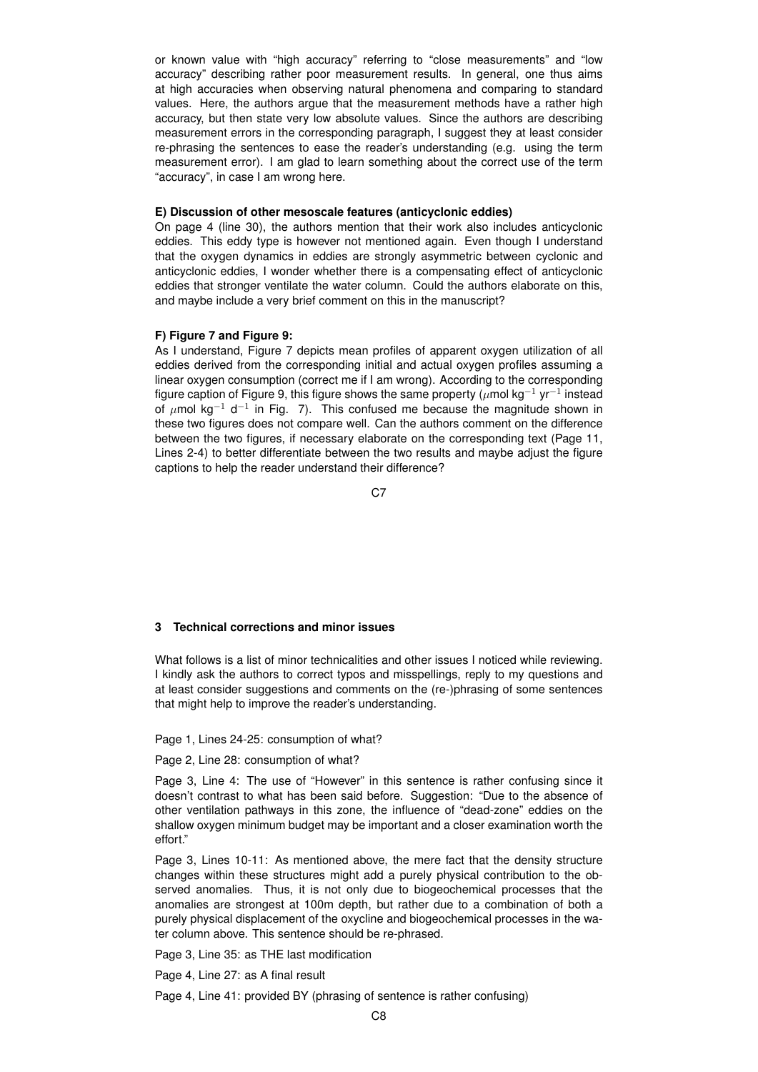or known value with "high accuracy" referring to "close measurements" and "low accuracy" describing rather poor measurement results. In general, one thus aims at high accuracies when observing natural phenomena and comparing to standard values. Here, the authors argue that the measurement methods have a rather high accuracy, but then state very low absolute values. Since the authors are describing measurement errors in the corresponding paragraph, I suggest they at least consider re-phrasing the sentences to ease the reader's understanding (e.g. using the term measurement error). I am glad to learn something about the correct use of the term "accuracy", in case I am wrong here.

### **E) Discussion of other mesoscale features (anticyclonic eddies)**

On page 4 (line 30), the authors mention that their work also includes anticyclonic eddies. This eddy type is however not mentioned again. Even though I understand that the oxygen dynamics in eddies are strongly asymmetric between cyclonic and anticyclonic eddies, I wonder whether there is a compensating effect of anticyclonic eddies that stronger ventilate the water column. Could the authors elaborate on this, and maybe include a very brief comment on this in the manuscript?

### **F) Figure 7 and Figure 9:**

As I understand, Figure 7 depicts mean profiles of apparent oxygen utilization of all eddies derived from the corresponding initial and actual oxygen profiles assuming a linear oxygen consumption (correct me if I am wrong). According to the corresponding figure caption of Figure 9, this figure shows the same property ( $\mu$ mol kg $^{-1}$  yr $^{-1}$  instead of  $\mu$ mol kg<sup>-1</sup> d<sup>-1</sup> in Fig. 7). This confused me because the magnitude shown in these two figures does not compare well. Can the authors comment on the difference between the two figures, if necessary elaborate on the corresponding text (Page 11, Lines 2-4) to better differentiate between the two results and maybe adjust the figure captions to help the reader understand their difference?

C<sub>7</sub>

## **3 Technical corrections and minor issues**

What follows is a list of minor technicalities and other issues I noticed while reviewing. I kindly ask the authors to correct typos and misspellings, reply to my questions and at least consider suggestions and comments on the (re-)phrasing of some sentences that might help to improve the reader's understanding.

Page 1, Lines 24-25: consumption of what?

## Page 2, Line 28: consumption of what?

Page 3, Line 4: The use of "However" in this sentence is rather confusing since it doesn't contrast to what has been said before. Suggestion: "Due to the absence of other ventilation pathways in this zone, the influence of "dead-zone" eddies on the shallow oxygen minimum budget may be important and a closer examination worth the effort."

Page 3, Lines 10-11: As mentioned above, the mere fact that the density structure changes within these structures might add a purely physical contribution to the observed anomalies. Thus, it is not only due to biogeochemical processes that the anomalies are strongest at 100m depth, but rather due to a combination of both a purely physical displacement of the oxycline and biogeochemical processes in the water column above. This sentence should be re-phrased.

Page 3, Line 35: as THE last modification

Page 4, Line 27: as A final result

Page 4, Line 41: provided BY (phrasing of sentence is rather confusing)